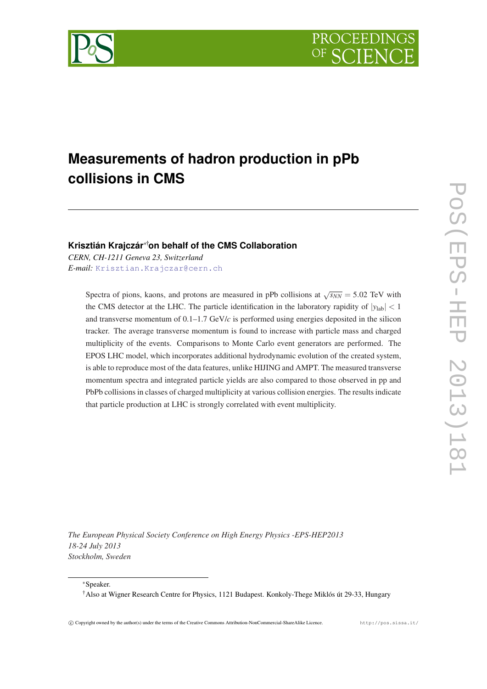

# **Measurements of hadron production in pPb collisions in CMS**

## **Krisztián Krajczár**∗†**on behalf of the CMS Collaboration**

*CERN, CH-1211 Geneva 23, Switzerland E-mail:* [Krisztian.Krajczar@cern.ch](mailto:Krisztian.Krajczar@cern.ch)

> Spectra of pions, kaons, and protons are measured in pPb collisions at  $\sqrt{s_{NN}} = 5.02$  TeV with the CMS detector at the LHC. The particle identification in the laboratory rapidity of  $|y_{\text{lab}}| < 1$ and transverse momentum of 0.1–1.7 GeV/*c* is performed using energies deposited in the silicon tracker. The average transverse momentum is found to increase with particle mass and charged multiplicity of the events. Comparisons to Monte Carlo event generators are performed. The EPOS LHC model, which incorporates additional hydrodynamic evolution of the created system, is able to reproduce most of the data features, unlike HIJING and AMPT. The measured transverse momentum spectra and integrated particle yields are also compared to those observed in pp and PbPb collisions in classes of charged multiplicity at various collision energies. The results indicate that particle production at LHC is strongly correlated with event multiplicity.

*The European Physical Society Conference on High Energy Physics -EPS-HEP2013 18-24 July 2013 Stockholm, Sweden*

<sup>∗</sup>Speaker.

<sup>†</sup>Also at Wigner Research Centre for Physics, 1121 Budapest. Konkoly-Thege Miklós út 29-33, Hungary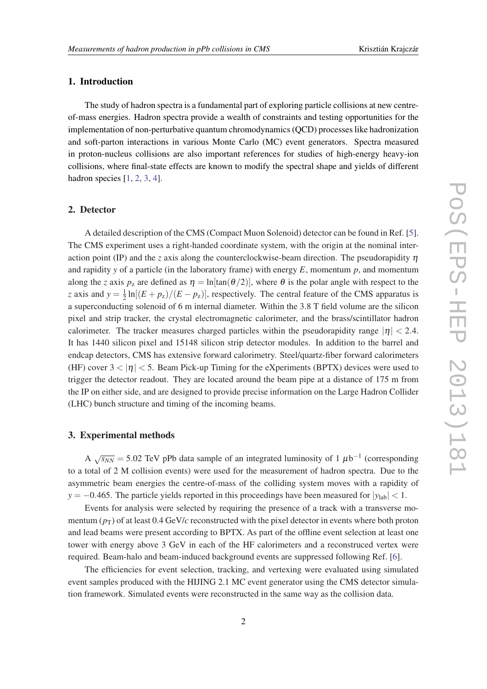#### 1. Introduction

The study of hadron spectra is a fundamental part of exploring particle collisions at new centreof-mass energies. Hadron spectra provide a wealth of constraints and testing opportunities for the implementation of non-perturbative quantum chromodynamics (QCD) processes like hadronization and soft-parton interactions in various Monte Carlo (MC) event generators. Spectra measured in proton-nucleus collisions are also important references for studies of high-energy heavy-ion collisions, where final-state effects are known to modify the spectral shape and yields of different hadron species  $[1, 2, 3, 4]$  $[1, 2, 3, 4]$  $[1, 2, 3, 4]$  $[1, 2, 3, 4]$  $[1, 2, 3, 4]$  $[1, 2, 3, 4]$  $[1, 2, 3, 4]$  $[1, 2, 3, 4]$ .

## 2. Detector

A detailed description of the CMS (Compact Muon Solenoid) detector can be found in Ref. [\[5\]](#page-4-0). The CMS experiment uses a right-handed coordinate system, with the origin at the nominal interaction point (IP) and the *z* axis along the counterclockwise-beam direction. The pseudorapidity  $\eta$ and rapidity *y* of a particle (in the laboratory frame) with energy  $E$ , momentum  $p$ , and momentum along the *z* axis  $p_z$  are defined as  $\eta = \ln[\tan(\theta/2)]$ , where  $\theta$  is the polar angle with respect to the *z* axis and  $y = \frac{1}{2}$  $\frac{1}{2}$ ln $[(E + p_z)/(E - p_z)]$ , respectively. The central feature of the CMS apparatus is a superconducting solenoid of 6 m internal diameter. Within the 3.8 T field volume are the silicon pixel and strip tracker, the crystal electromagnetic calorimeter, and the brass/scintillator hadron calorimeter. The tracker measures charged particles within the pseudorapidity range  $|\eta| < 2.4$ . It has 1440 silicon pixel and 15148 silicon strip detector modules. In addition to the barrel and endcap detectors, CMS has extensive forward calorimetry. Steel/quartz-fiber forward calorimeters (HF) cover  $3 < |\eta| < 5$ . Beam Pick-up Timing for the eXperiments (BPTX) devices were used to trigger the detector readout. They are located around the beam pipe at a distance of 175 m from the IP on either side, and are designed to provide precise information on the Large Hadron Collider (LHC) bunch structure and timing of the incoming beams.

#### 3. Experimental methods

A  $\sqrt{s_{NN}}$  = 5.02 TeV pPb data sample of an integrated luminosity of 1  $\mu$ b<sup>-1</sup> (corresponding to a total of 2 M collision events) were used for the measurement of hadron spectra. Due to the asymmetric beam energies the centre-of-mass of the colliding system moves with a rapidity of *y* = −0.465. The particle yields reported in this proceedings have been measured for  $|y_{lab}|$  < 1.

Events for analysis were selected by requiring the presence of a track with a transverse momentum  $(p_T)$  of at least 0.4 GeV/*c* reconstructed with the pixel detector in events where both proton and lead beams were present according to BPTX. As part of the offline event selection at least one tower with energy above 3 GeV in each of the HF calorimeters and a reconstruced vertex were required. Beam-halo and beam-induced background events are suppressed following Ref. [\[6\]](#page-5-0).

The efficiencies for event selection, tracking, and vertexing were evaluated using simulated event samples produced with the HIJING 2.1 MC event generator using the CMS detector simulation framework. Simulated events were reconstructed in the same way as the collision data.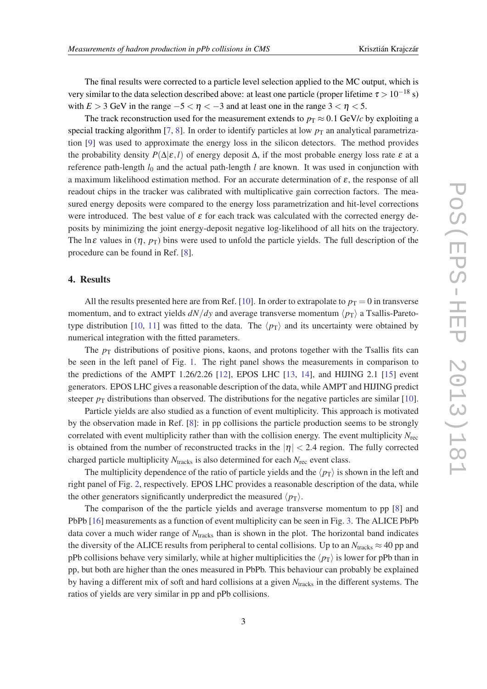The final results were corrected to a particle level selection applied to the MC output, which is very similar to the data selection described above: at least one particle (proper lifetime  $\tau > 10^{-18}$  s) with  $E > 3$  GeV in the range  $-5 < \eta < -3$  and at least one in the range  $3 < \eta < 5$ .

The track reconstruction used for the measurement extends to  $p_T \approx 0.1$  GeV/*c* by exploiting a special tracking algorithm [[7](#page-5-0), [8\]](#page-5-0). In order to identify particles at low  $p<sub>T</sub>$  an analytical parametrization [[9](#page-5-0)] was used to approximate the energy loss in the silicon detectors. The method provides the probability density  $P(\Delta|\varepsilon, l)$  of energy deposit  $\Delta$ , if the most probable energy loss rate  $\varepsilon$  at a reference path-length  $l_0$  and the actual path-length *l* are known. It was used in conjunction with a maximum likelihood estimation method. For an accurate determination of  $\varepsilon$ , the response of all readout chips in the tracker was calibrated with multiplicative gain correction factors. The measured energy deposits were compared to the energy loss parametrization and hit-level corrections were introduced. The best value of  $\varepsilon$  for each track was calculated with the corrected energy deposits by minimizing the joint energy-deposit negative log-likelihood of all hits on the trajectory. The ln  $\varepsilon$  values in  $(\eta, p_T)$  bins were used to unfold the particle yields. The full description of the procedure can be found in Ref. [[8](#page-5-0)].

#### 4. Results

All the results presented here are from Ref. [\[10](#page-5-0)]. In order to extrapolate to  $p<sub>T</sub> = 0$  in transverse momentum, and to extract yields  $dN/dy$  and average transverse momentum  $\langle p_T \rangle$  a Tsallis-Pareto-type distribution [\[10](#page-5-0), [11\]](#page-5-0) was fitted to the data. The  $\langle p_T \rangle$  and its uncertainty were obtained by numerical integration with the fitted parameters.

The  $p<sub>T</sub>$  distributions of positive pions, kaons, and protons together with the Tsallis fits can be seen in the left panel of Fig. [1](#page-3-0). The right panel shows the measurements in comparison to the predictions of the AMPT 1.26/2.26 [[12\]](#page-5-0), EPOS LHC [[13,](#page-5-0) [14\]](#page-5-0), and HIJING 2.1 [\[15\]](#page-5-0) event generators. EPOS LHC gives a reasonable description of the data, while AMPT and HIJING predict steeper  $p<sub>T</sub>$  distributions than observed. The distributions for the negative particles are similar [[10\]](#page-5-0).

Particle yields are also studied as a function of event multiplicity. This approach is motivated by the observation made in Ref. [\[8\]](#page-5-0): in pp collisions the particle production seems to be strongly correlated with event multiplicity rather than with the collision energy. The event multiplicity *N*rec is obtained from the number of reconstructed tracks in the  $|\eta| < 2.4$  region. The fully corrected charged particle multiplicity *N*<sub>tracks</sub> is also determined for each *N*<sub>rec</sub> event class.

The multiplicity dependence of the ratio of particle yields and the  $\langle p_T \rangle$  is shown in the left and right panel of Fig. [2](#page-3-0), respectively. EPOS LHC provides a reasonable description of the data, while the other generators significantly underpredict the measured  $\langle p_T \rangle$ .

The comparison of the the particle yields and average transverse momentum to pp [\[8\]](#page-5-0) and PbPb [\[16](#page-5-0)] measurements as a function of event multiplicity can be seen in Fig. [3](#page-4-0). The ALICE PbPb data cover a much wider range of  $N<sub>tracks</sub>$  than is shown in the plot. The horizontal band indicates the diversity of the ALICE results from peripheral to cental collisions. Up to an  $N<sub>tracks</sub> \approx 40$  pp and pPb collisions behave very similarly, while at higher multiplicities the  $\langle p_T \rangle$  is lower for pPb than in pp, but both are higher than the ones measured in PbPb. This behaviour can probably be explained by having a different mix of soft and hard collisions at a given  $N<sub>tracks</sub>$  in the different systems. The ratios of yields are very similar in pp and pPb collisions.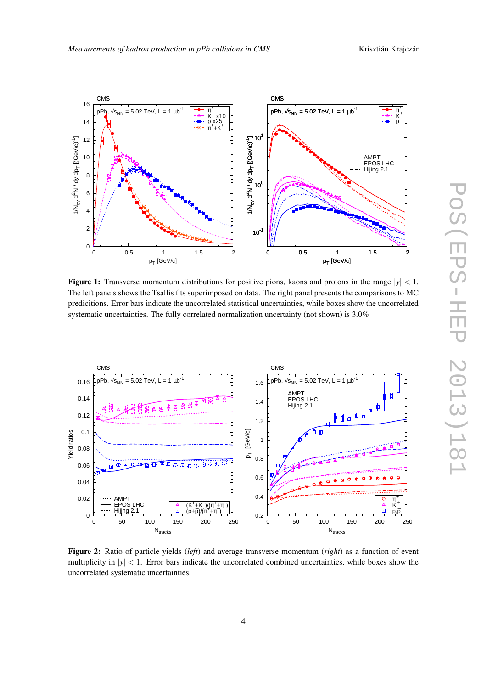<span id="page-3-0"></span>

**Figure 1:** Transverse momentum distributions for positive pions, kaons and protons in the range  $|y| < 1$ . The left panels shows the Tsallis fits superimposed on data. The right panel presents the comparisons to MC predicitions. Error bars indicate the uncorrelated statistical uncertainties, while boxes show the uncorrelated systematic uncertainties. The fully correlated normalization uncertainty (not shown) is 3.0%



Figure 2: Ratio of particle yields (*left*) and average transverse momentum (*right*) as a function of event multiplicity in  $|y| < 1$ . Error bars indicate the uncorrelated combined uncertainties, while boxes show the uncorrelated systematic uncertainties.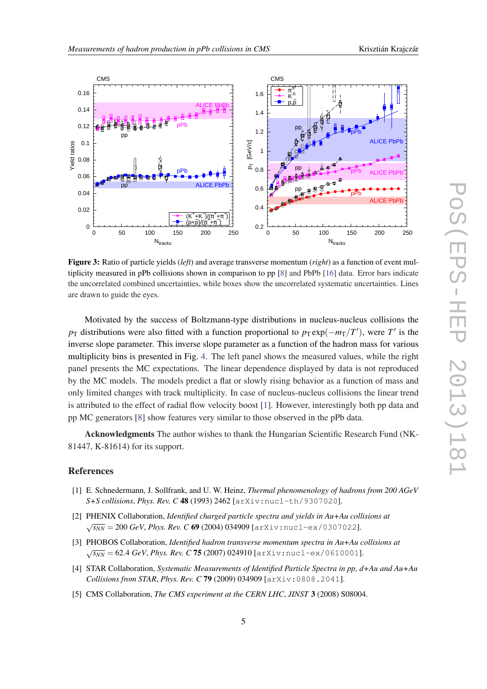<span id="page-4-0"></span>

Figure 3: Ratio of particle yields (*left*) and average transverse momentum (*right*) as a function of event multiplicity measured in pPb collisions shown in comparison to pp [[8\]](#page-5-0) and PbPb [\[16](#page-5-0)] data. Error bars indicate the uncorrelated combined uncertainties, while boxes show the uncorrelated systematic uncertainties. Lines are drawn to guide the eyes.

Motivated by the success of Boltzmann-type distributions in nucleus-nucleus collisions the *p*T distributions were also fitted with a function proportional to  $p_T \exp(-m_T/T')$ , were *T'* is the inverse slope parameter. This inverse slope parameter as a function of the hadron mass for various multiplicity bins is presented in Fig. [4](#page-5-0). The left panel shows the measured values, while the right panel presents the MC expectations. The linear dependence displayed by data is not reproduced by the MC models. The models predict a flat or slowly rising behavior as a function of mass and only limited changes with track multiplicity. In case of nucleus-nucleus collisions the linear trend is attributed to the effect of radial flow velocity boost [1]. However, interestingly both pp data and pp MC generators [\[8\]](#page-5-0) show features very similar to those observed in the pPb data.

Acknowledgments The author wishes to thank the Hungarian Scientific Research Fund (NK-81447, K-81614) for its support.

## References

- [1] E. Schnedermann, J. Sollfrank, and U. W. Heinz, *Thermal phenomenology of hadrons from 200 AGeV S+S collisions*, *Phys. Rev. C* 48 (1993) 2462 [arXiv:nucl-th/9307020].
- [2] PHENIX Collaboration, *Identified charged particle spectra and yields in Au+Au collisions at*  $\sqrt{s_{NN}} = 200 \text{ GeV},$  *Phys. Rev.* C 69 (2004) 034909 [arXiv:nucl-ex/0307022].
- [3] PHOBOS Collaboration, *Identified hadron transverse momentum spectra in Au+Au collisions at*  $\sqrt{s_{NN}}$  = 62.4 *GeV, Phys. Rev. C* 75 (2007) 024910 [arXiv:nucl-ex/0610001].
- [4] STAR Collaboration, *Systematic Measurements of Identified Particle Spectra in pp, d+Au and Au+Au Collisions from STAR*, *Phys. Rev. C* 79 (2009) 034909 [arXiv:0808.2041].
- [5] CMS Collaboration, *The CMS experiment at the CERN LHC*, *JINST* 3 (2008) S08004.